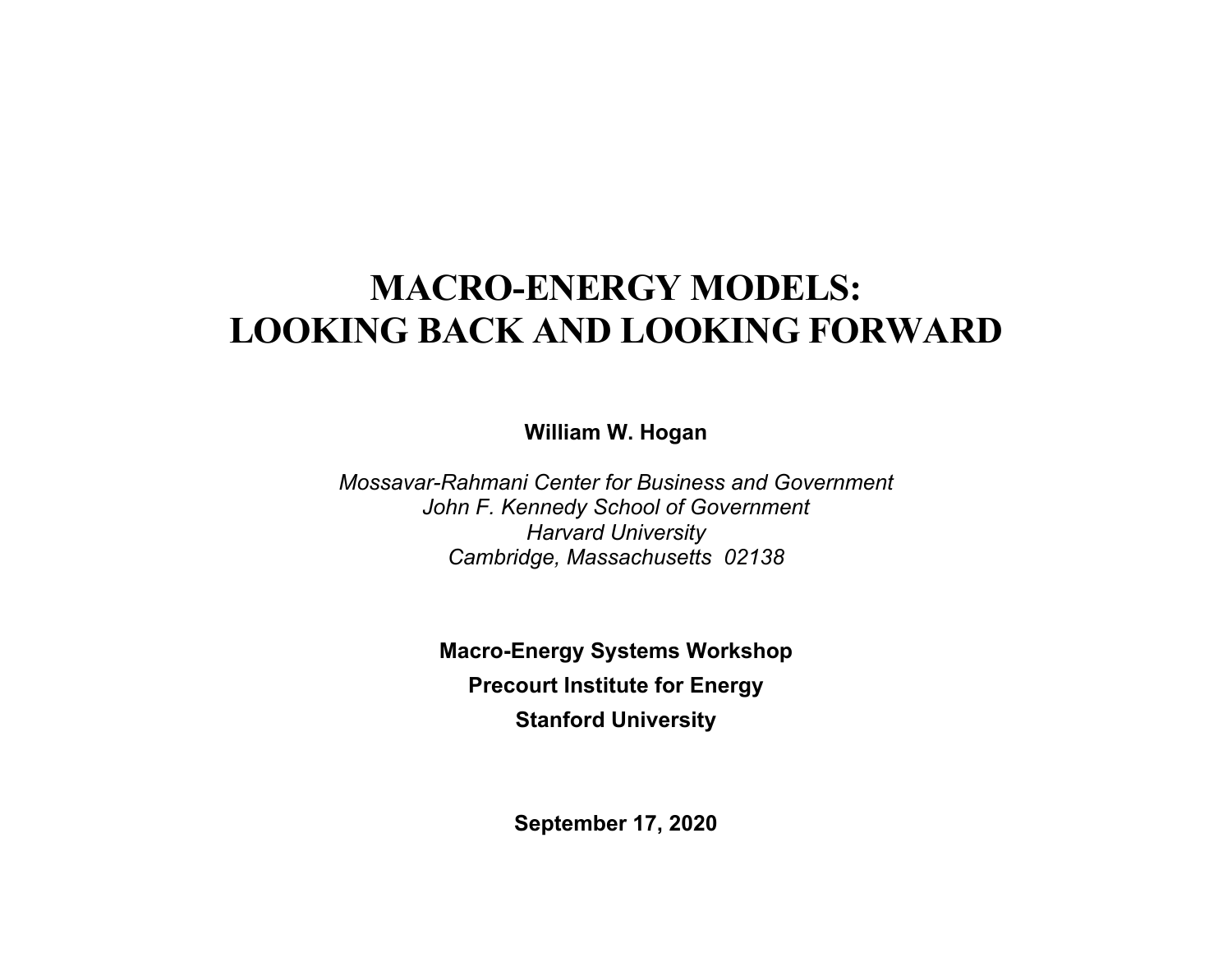# **MACRO-ENERGY MODELS: LOOKING BACK AND LOOKING FORWARD**

**William W. Hogan** 

*Mossavar-Rahmani Center for Business and Government John F. Kennedy School of Government Harvard University Cambridge, Massachusetts 02138* 

> **Macro-Energy Systems Workshop Precourt Institute for Energy Stanford University**

> > **September 17, 2020**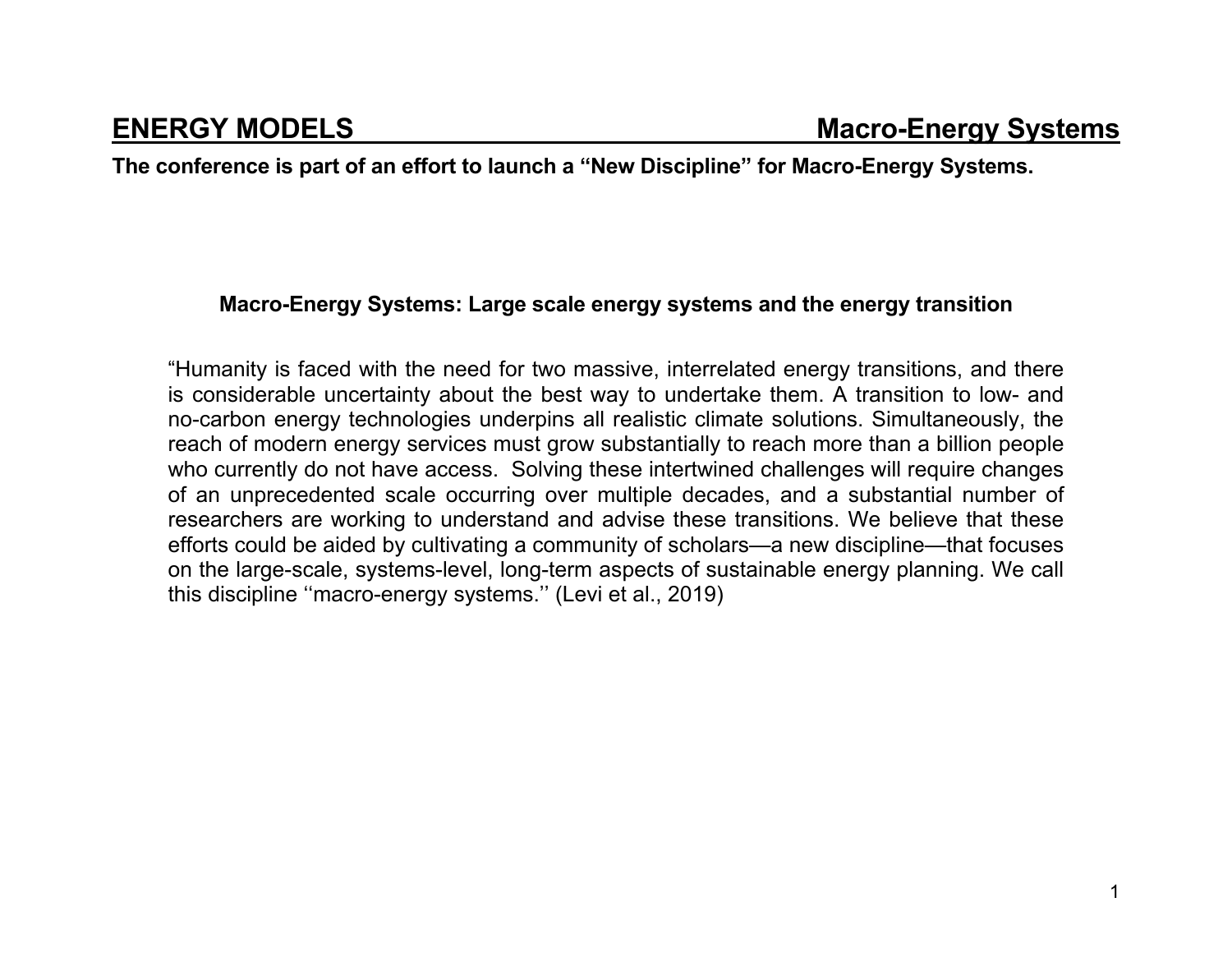**The conference is part of an effort to launch a "New Discipline" for Macro-Energy Systems.** 

#### **Macro-Energy Systems: Large scale energy systems and the energy transition**

"Humanity is faced with the need for two massive, interrelated energy transitions, and there is considerable uncertainty about the best way to undertake them. A transition to low- and no-carbon energy technologies underpins all realistic climate solutions. Simultaneously, the reach of modern energy services must grow substantially to reach more than a billion people who currently do not have access. Solving these intertwined challenges will require changes of an unprecedented scale occurring over multiple decades, and a substantial number of researchers are working to understand and advise these transitions. We believe that these efforts could be aided by cultivating a community of scholars—a new discipline—that focuses on the large-scale, systems-level, long-term aspects of sustainable energy planning. We call this discipline ''macro-energy systems.'' (Levi et al., 2019)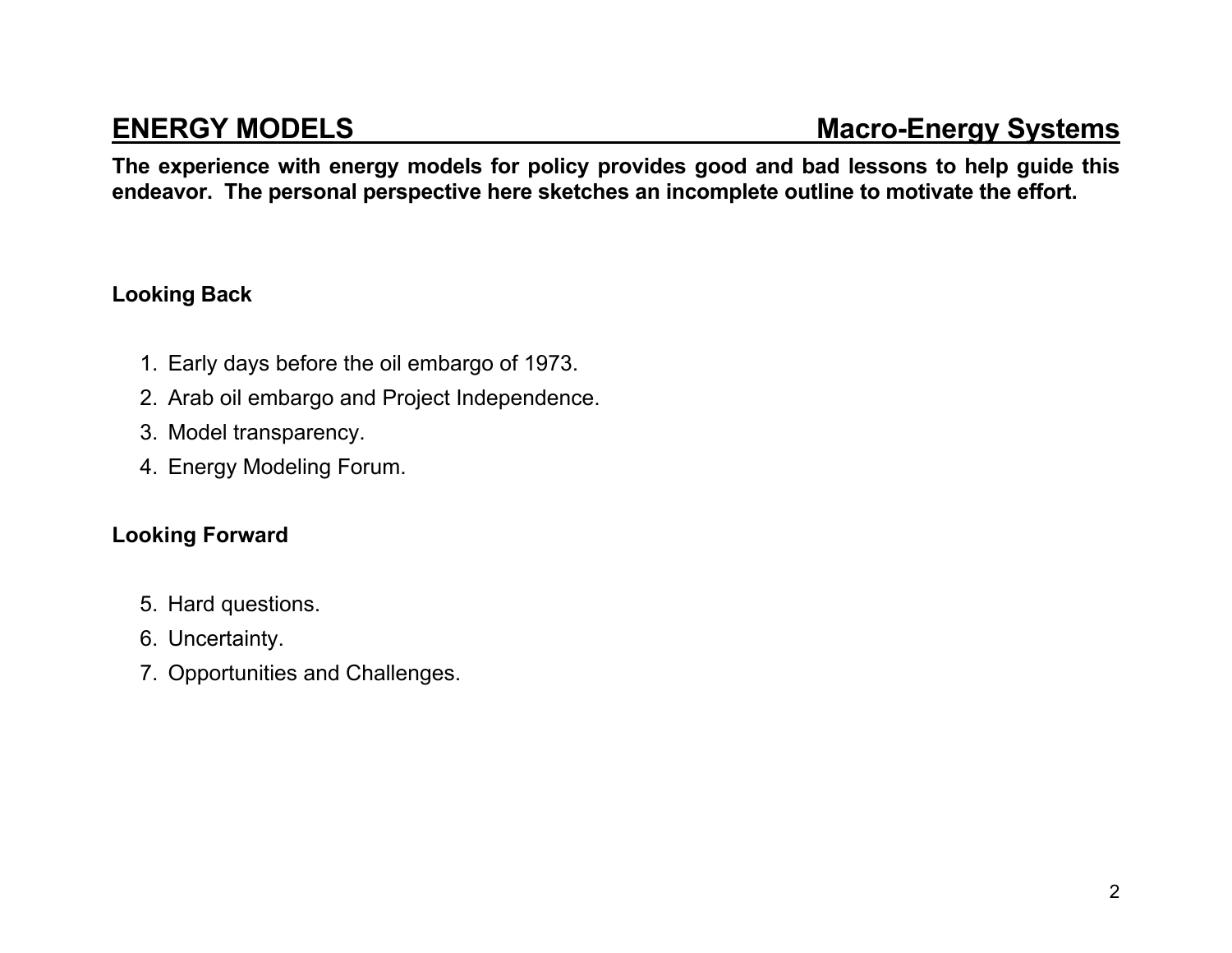**The experience with energy models for policy provides good and bad lessons to help guide this endeavor. The personal perspective here sketches an incomplete outline to motivate the effort.** 

### **Looking Back**

- 1. Early days before the oil embargo of 1973.
- 2. Arab oil embargo and Project Independence.
- 3. Model transparency.
- 4. Energy Modeling Forum.

### **Looking Forward**

- 5. Hard questions.
- 6. Uncertainty.
- 7. Opportunities and Challenges.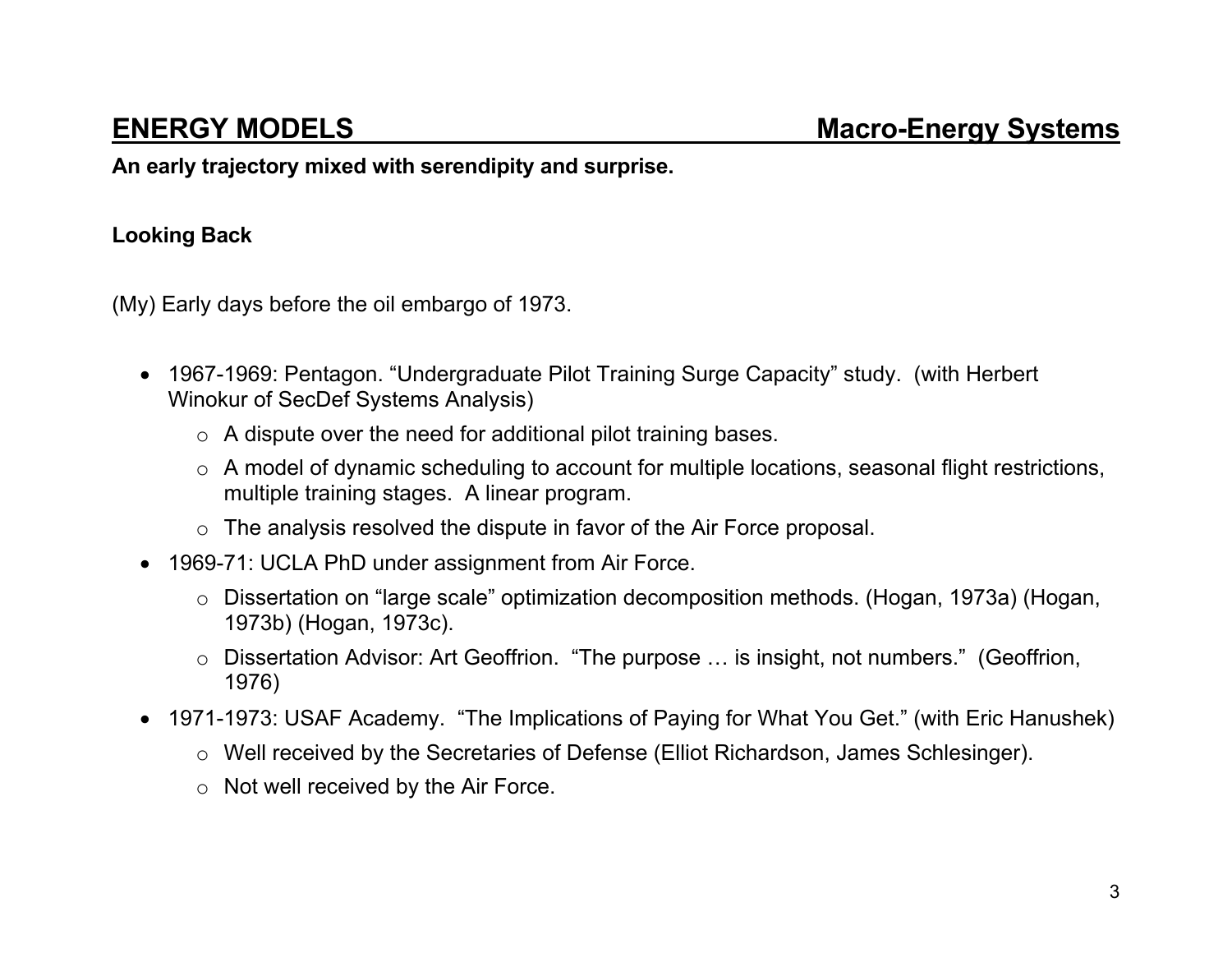**An early trajectory mixed with serendipity and surprise.** 

### **Looking Back**

(My) Early days before the oil embargo of 1973.

- 1967-1969: Pentagon. "Undergraduate Pilot Training Surge Capacity" study. (with Herbert Winokur of SecDef Systems Analysis)
	- $\circ$  A dispute over the need for additional pilot training bases.
	- <sup>o</sup> A model of dynamic scheduling to account for multiple locations, seasonal flight restrictions, multiple training stages. A linear program.
	- <sup>o</sup> The analysis resolved the dispute in favor of the Air Force proposal.
- 1969-71: UCLA PhD under assignment from Air Force.
	- <sup>o</sup> Dissertation on "large scale" optimization decomposition methods. (Hogan, 1973a) (Hogan, 1973b) (Hogan, 1973c).
	- <sup>o</sup> Dissertation Advisor: Art Geoffrion. "The purpose … is insight, not numbers." (Geoffrion, 1976)
- 1971-1973: USAF Academy. "The Implications of Paying for What You Get." (with Eric Hanushek)
	- <sup>o</sup> Well received by the Secretaries of Defense (Elliot Richardson, James Schlesinger).
	- $\circ$  Not well received by the Air Force.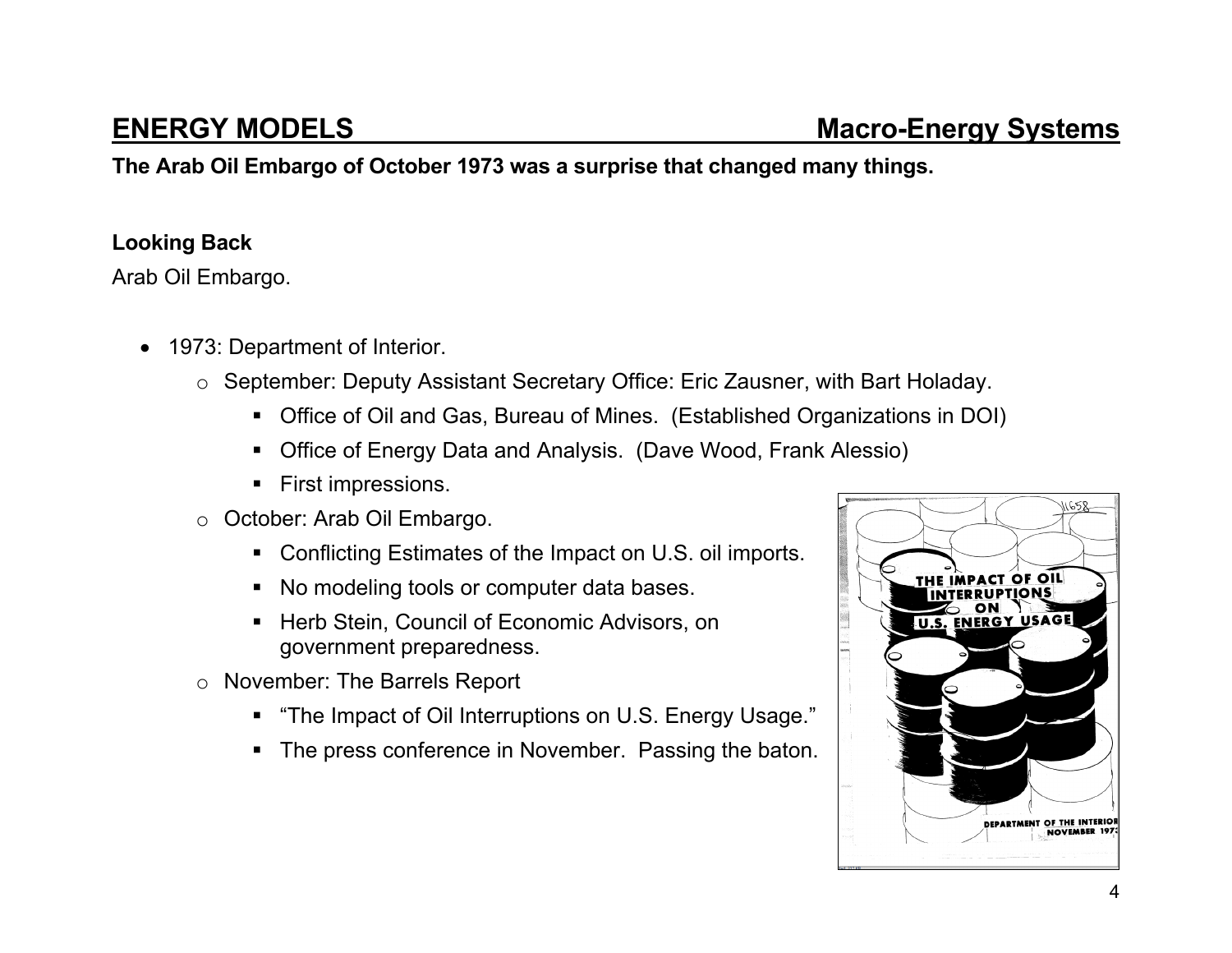**The Arab Oil Embargo of October 1973 was a surprise that changed many things.** 

### **Looking Back**

Arab Oil Embargo.

- 1973: Department of Interior.
	- <sup>o</sup> September: Deputy Assistant Secretary Office: Eric Zausner, with Bart Holaday.
		- Office of Oil and Gas, Bureau of Mines. (Established Organizations in DOI)
		- Office of Energy Data and Analysis. (Dave Wood, Frank Alessio)
		- **First impressions.**
	- <sup>o</sup> October: Arab Oil Embargo.
		- Conflicting Estimates of the Impact on U.S. oil imports.
		- No modeling tools or computer data bases.
		- **EXECT:** Herb Stein, Council of Economic Advisors, on government preparedness.
	- <sup>o</sup> November: The Barrels Report
		- "The Impact of Oil Interruptions on U.S. Energy Usage."
		- The press conference in November. Passing the baton.

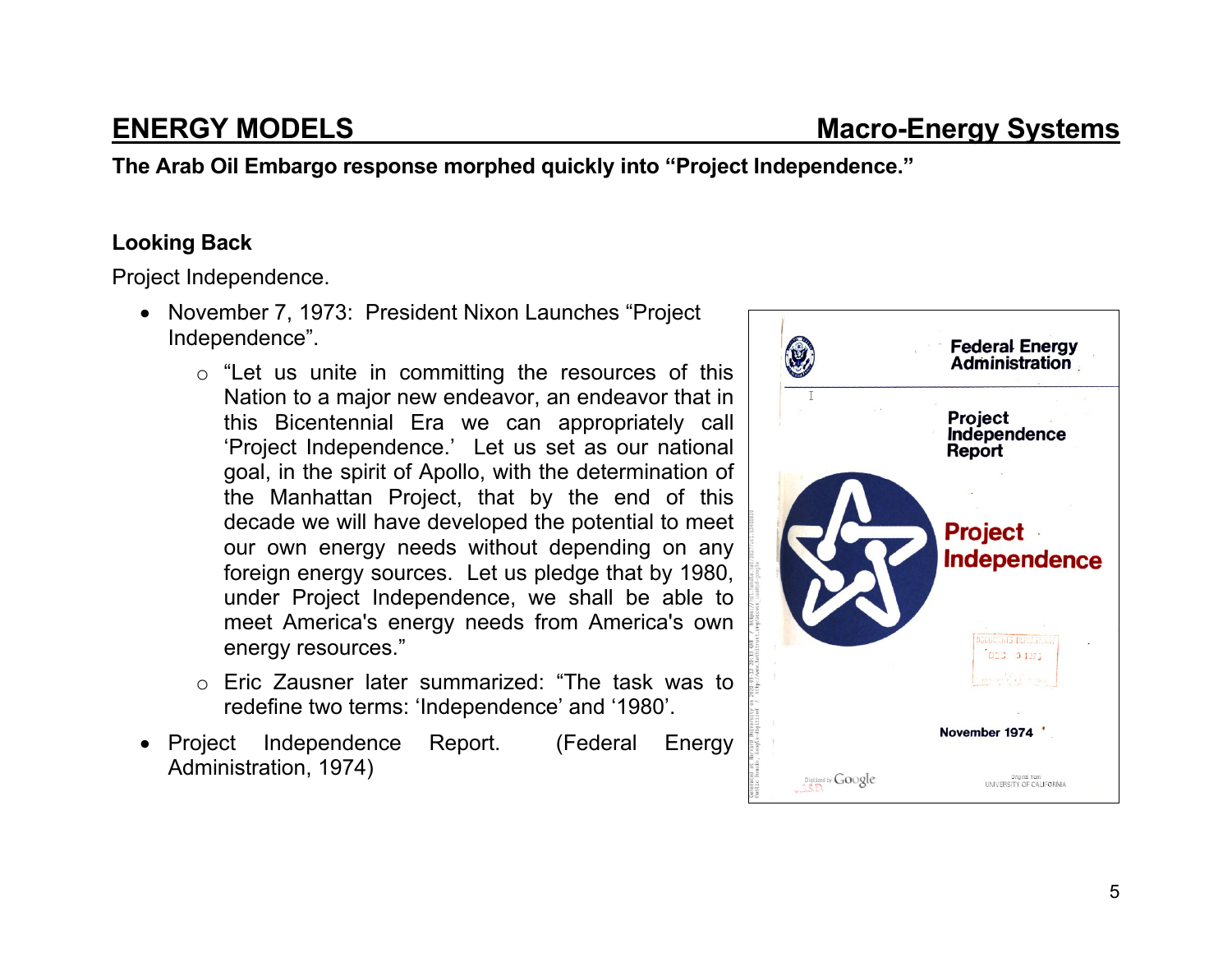**The Arab Oil Embargo response morphed quickly into "Project Independence."** 

#### **Looking Back**

Project Independence.

- November 7, 1973: President Nixon Launches "Project Independence".
	- $\circ$  "Let us unite in committing the resources of this Nation to a major new endeavor, an endeavor that in this Bicentennial Era we can appropriately call 'Project Independence.' Let us set as our national goal, in the spirit of Apollo, with the determination of the Manhattan Project, that by the end of this decade we will have developed the potential to meet our own energy needs without depending on any foreign energy sources. Let us pledge that by 1980, under Project Independence, we shall be able to meet America's energy needs from America's own energy resources."
	- o Eric Zausner later summarized: "The task was to redefine two terms: 'Independence' and '1980'.
- Project Independence Report. (Federal Energy Administration, 1974)

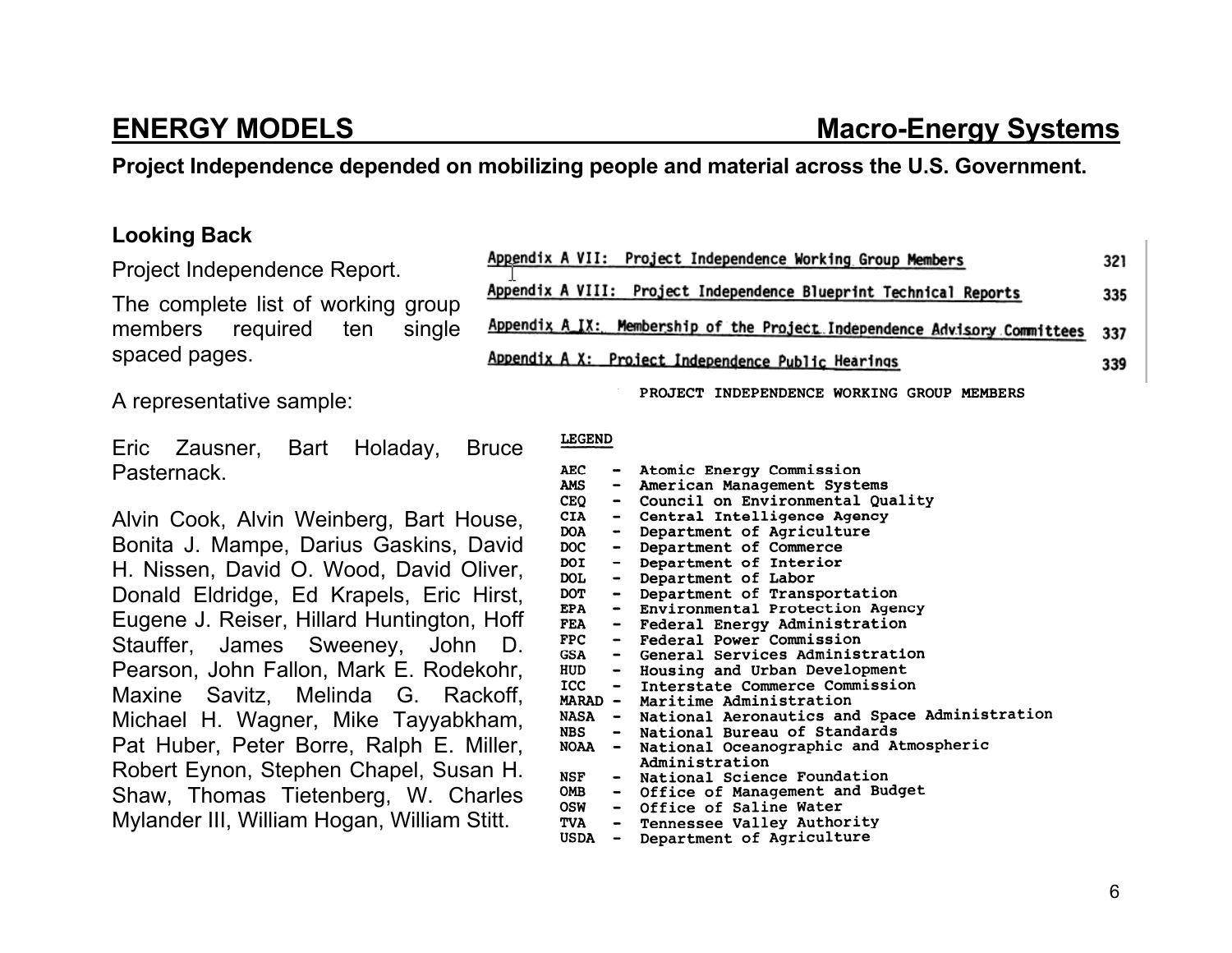#### **Project Independence depended on mobilizing people and material across the U.S. Government.**

#### **Looking Back**

Project Independence Report.

The complete list of working group members required ten single spaced pages.

A representative sample:

Eric Zausner, Bart Holaday, Bruce Pasternack.

Alvin Cook, Alvin Weinberg, Bart House, Bonita J. Mampe, Darius Gaskins, David H. Nissen, David O. Wood, David Oliver, Donald Eldridge, Ed Krapels, Eric Hirst, Eugene J. Reiser, Hillard Huntington, Hoff Stauffer, James Sweeney, John D. Pearson, John Fallon, Mark E. Rodekohr, Maxine Savitz, Melinda G. Rackoff, Michael H. Wagner, Mike Tayyabkham, Pat Huber, Peter Borre, Ralph E. Miller, Robert Eynon, Stephen Chapel, Susan H. Shaw, Thomas Tietenberg, W. Charles Mylander III, William Hogan, William Stitt.

| Appendix A VII: Project Independence Working Group Members                | 321 |
|---------------------------------------------------------------------------|-----|
| Appendix A VIII: Project Independence Blueprint Technical Reports         | 335 |
| Appendix A IX: Membership of the Project Independence Advisory Committees | 337 |
| Appendix A X: Project Independence Public Hearings                        | 339 |

PROJECT INDEPENDENCE WORKING GROUP MEMBERS

### **LEGEND**

| <b>AEC</b>  |                              | Atomic Energy Commission                        |
|-------------|------------------------------|-------------------------------------------------|
| <b>AMS</b>  | $\blacksquare$               | American Management Systems                     |
| <b>CEQ</b>  |                              | - Council on Environmental Quality              |
| <b>CIA</b>  | $\qquad \qquad \blacksquare$ | Central Intelligence Agency                     |
| <b>DOA</b>  | $\bullet$ .                  | Department of Agriculture                       |
| <b>DOC</b>  | $\blacksquare$               | Department of Commerce                          |
| DOI         | $\blacksquare$               | Department of Interior                          |
| <b>DOL</b>  | $\blacksquare$               | Department of Labor                             |
| DOT -       |                              | Department of Transportation                    |
|             |                              | EPA - Environmental Protection Agency           |
| $FEA$ $-$   |                              | Federal Energy Administration                   |
|             |                              | FPC - Federal Power Commission                  |
|             |                              | GSA - General Services Administration           |
|             |                              | HUD - Housing and Urban Development             |
|             |                              | ICC - Interstate Commerce Commission            |
|             |                              | MARAD - Maritime Administration                 |
| <b>NASA</b> |                              | - National Aeronautics and Space Administration |
|             |                              | NBS - National Bureau of Standards              |
| <b>NOAA</b> | $\blacksquare$               | National Oceanographic and Atmospheric          |
|             |                              | Administration                                  |
| NSF         |                              | - National Science Foundation                   |
| <b>OMB</b>  |                              | - Office of Management and Budget               |
| OSW         |                              | - Office of Saline Water                        |
| TVA –       |                              | Tennessee Valley Authority                      |
| USDA        | $\qquad \qquad \blacksquare$ | Department of Agriculture                       |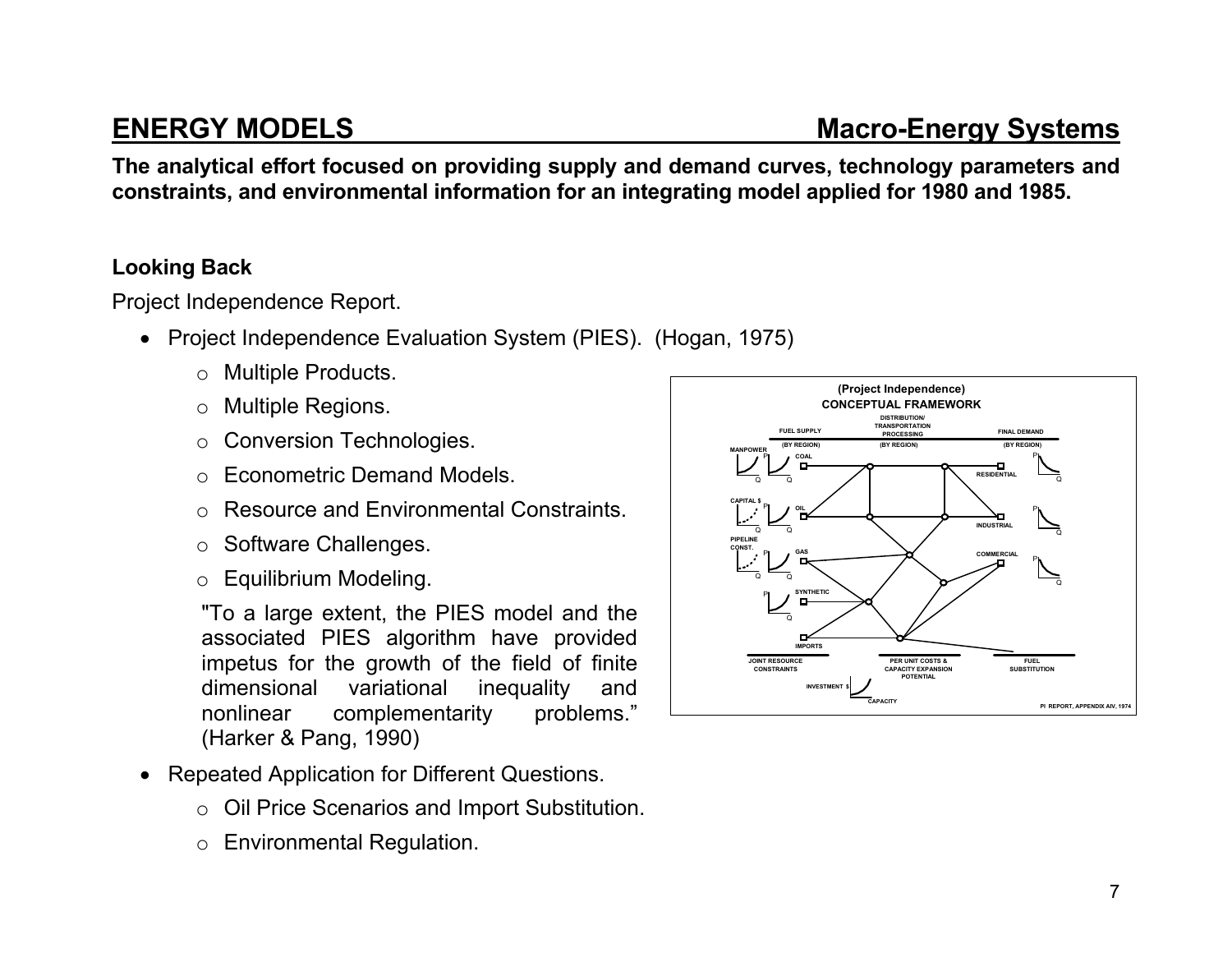**The analytical effort focused on providing supply and demand curves, technology parameters and constraints, and environmental information for an integrating model applied for 1980 and 1985.** 

### **Looking Back**

Project Independence Report.

- Project Independence Evaluation System (PIES). (Hogan, 1975)
	- <sup>o</sup> Multiple Products.
	- <sup>o</sup> Multiple Regions.
	- <sup>o</sup> Conversion Technologies.
	- o Econometric Demand Models.
	- o Resource and Environmental Constraints.
	- <sup>o</sup> Software Challenges.
	- <sup>o</sup> Equilibrium Modeling.

"To a large extent, the PIES model and the associated PIES algorithm have provided impetus for the growth of the field of finite dimensional variational inequality and nonlinear complementarity problems." (Harker & Pang, 1990)

- Repeated Application for Different Questions.
	- <sup>o</sup> Oil Price Scenarios and Import Substitution.
	- <sup>o</sup> Environmental Regulation.

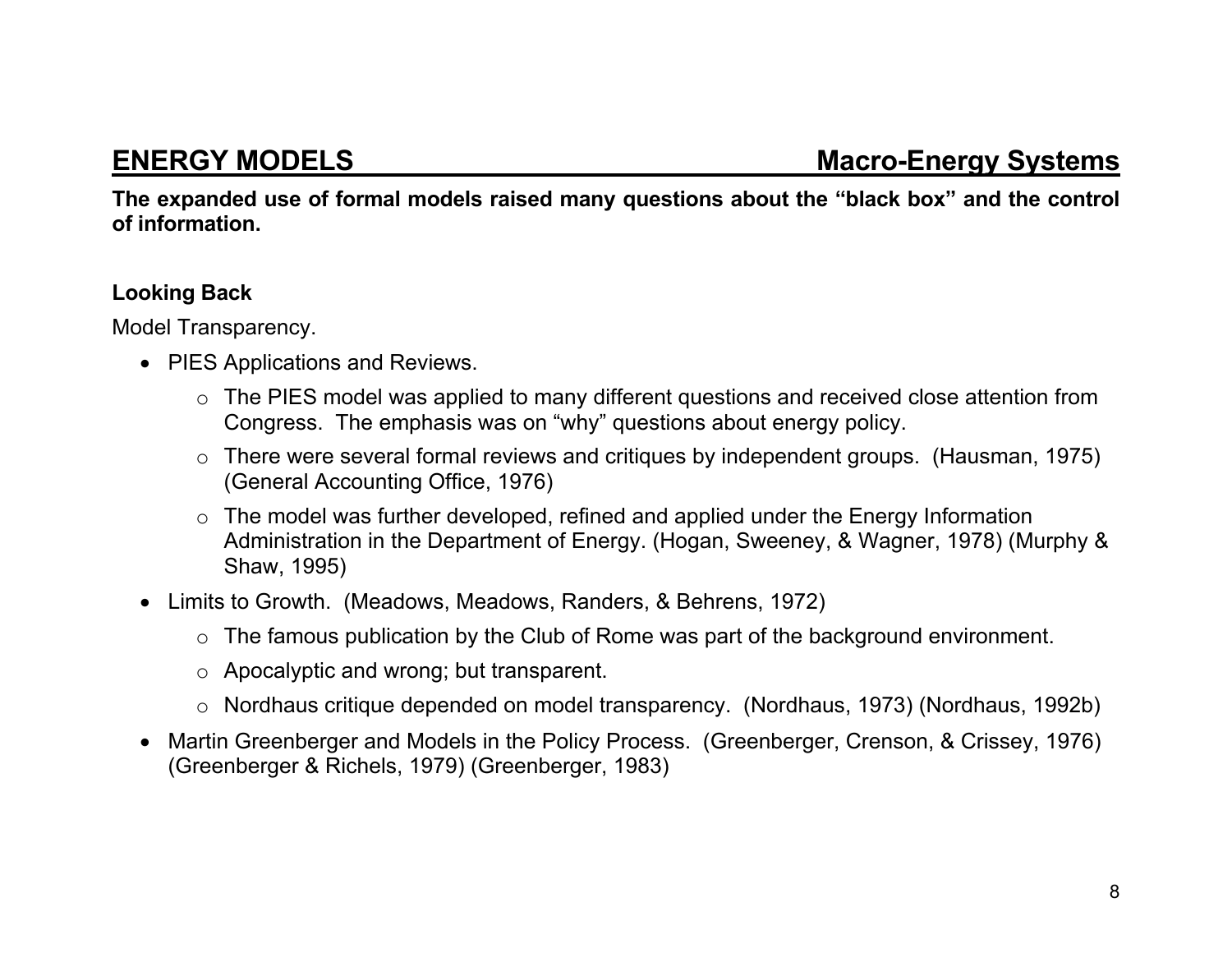**The expanded use of formal models raised many questions about the "black box" and the control of information.** 

### **Looking Back**

Model Transparency.

- PIES Applications and Reviews.
	- <sup>o</sup> The PIES model was applied to many different questions and received close attention from Congress. The emphasis was on "why" questions about energy policy.
	- <sup>o</sup> There were several formal reviews and critiques by independent groups. (Hausman, 1975) (General Accounting Office, 1976)
	- $\circ$  The model was further developed, refined and applied under the Energy Information Administration in the Department of Energy. (Hogan, Sweeney, & Wagner, 1978) (Murphy & Shaw, 1995)
- Limits to Growth. (Meadows, Meadows, Randers, & Behrens, 1972)
	- $\circ$  The famous publication by the Club of Rome was part of the background environment.
	- <sup>o</sup> Apocalyptic and wrong; but transparent.
	- <sup>o</sup> Nordhaus critique depended on model transparency. (Nordhaus, 1973) (Nordhaus, 1992b)
- Martin Greenberger and Models in the Policy Process. (Greenberger, Crenson, & Crissey, 1976) (Greenberger & Richels, 1979) (Greenberger, 1983)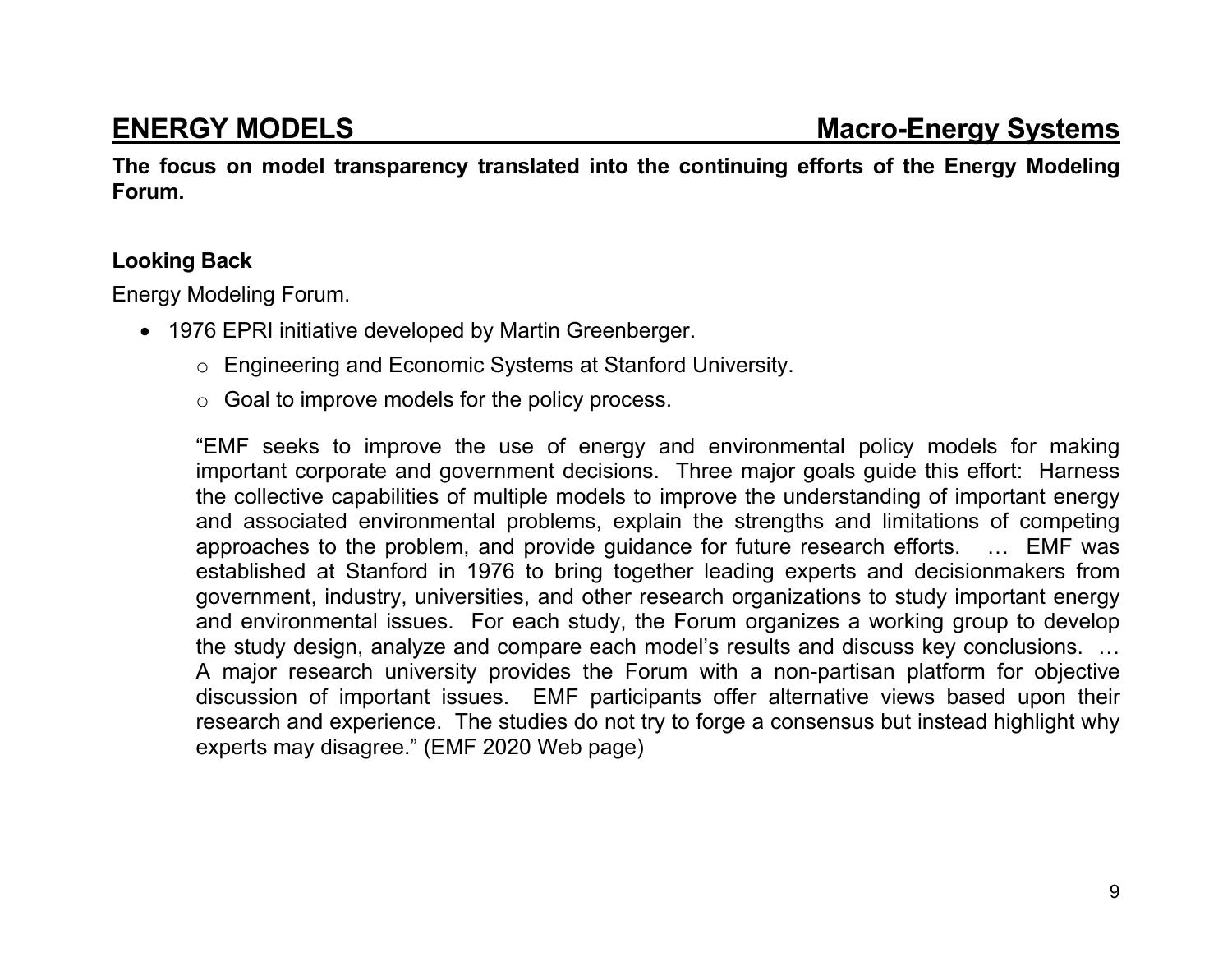**The focus on model transparency translated into the continuing efforts of the Energy Modeling Forum.** 

### **Looking Back**

Energy Modeling Forum.

- 1976 EPRI initiative developed by Martin Greenberger.
	- <sup>o</sup> Engineering and Economic Systems at Stanford University.
	- $\circ$  Goal to improve models for the policy process.

"EMF seeks to improve the use of energy and environmental policy models for making important corporate and government decisions. Three major goals guide this effort: Harness the collective capabilities of multiple models to improve the understanding of important energy and associated environmental problems, explain the strengths and limitations of competing approaches to the problem, and provide guidance for future research efforts. … EMF was established at Stanford in 1976 to bring together leading experts and decisionmakers from government, industry, universities, and other research organizations to study important energy and environmental issues. For each study, the Forum organizes a working group to develop the study design, analyze and compare each model's results and discuss key conclusions. … A major research university provides the Forum with a non-partisan platform for objective discussion of important issues. EMF participants offer alternative views based upon their research and experience. The studies do not try to forge a consensus but instead highlight why experts may disagree." (EMF 2020 Web page)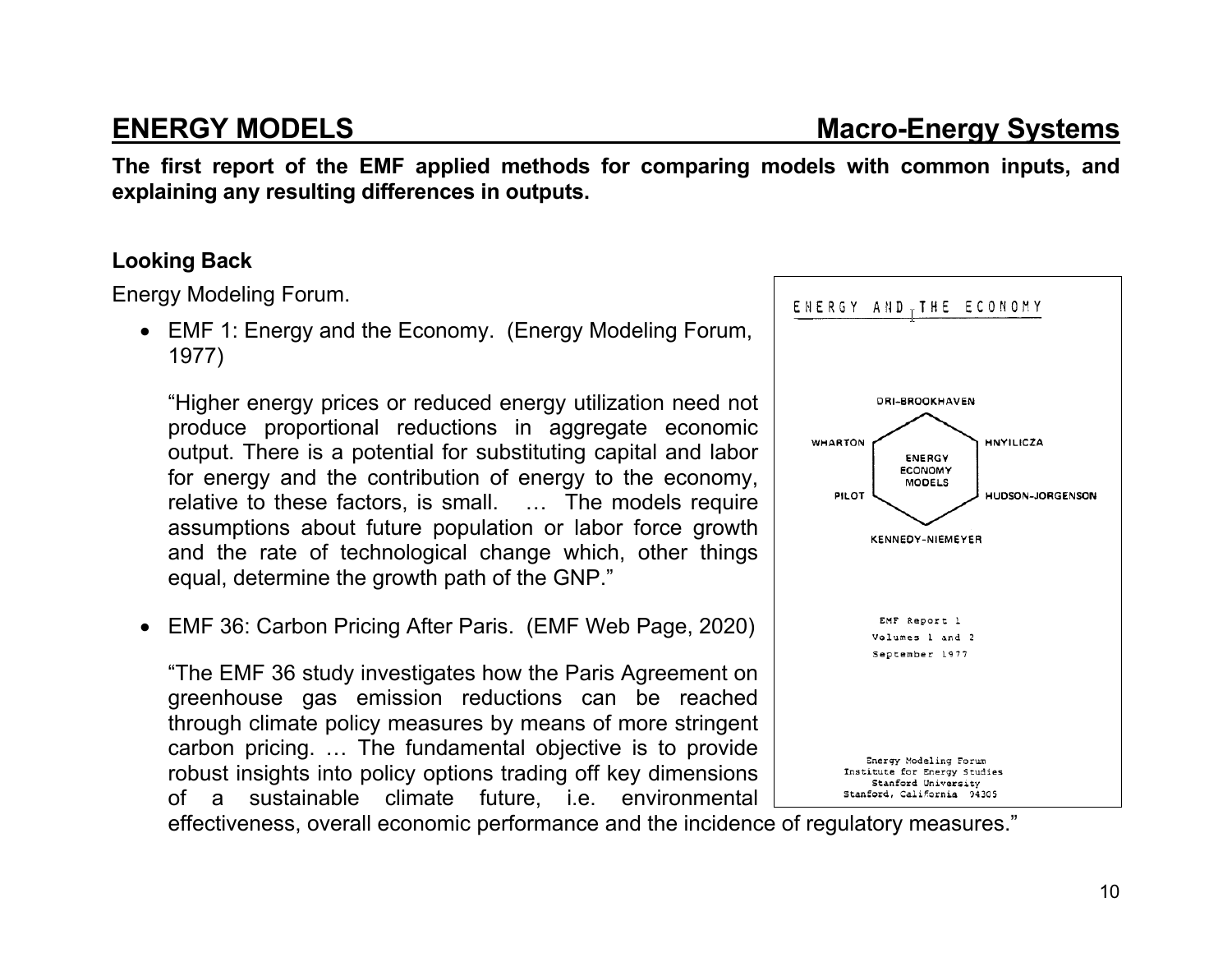**The first report of the EMF applied methods for comparing models with common inputs, and explaining any resulting differences in outputs.** 

#### **Looking Back**

Energy Modeling Forum.

 EMF 1: Energy and the Economy. (Energy Modeling Forum, 1977)

"Higher energy prices or reduced energy utilization need not produce proportional reductions in aggregate economic output. There is a potential for substituting capital and labor for energy and the contribution of energy to the economy, relative to these factors, is small. … The models require assumptions about future population or labor force growth and the rate of technological change which, other things equal, determine the growth path of the GNP."

EMF 36: Carbon Pricing After Paris. (EMF Web Page, 2020)

"The EMF 36 study investigates how the Paris Agreement on greenhouse gas emission reductions can be reached through climate policy measures by means of more stringent carbon pricing. … The fundamental objective is to provide robust insights into policy options trading off key dimensions of a sustainable climate future, i.e. environmental

effectiveness, overall economic performance and the incidence of regulatory measures."

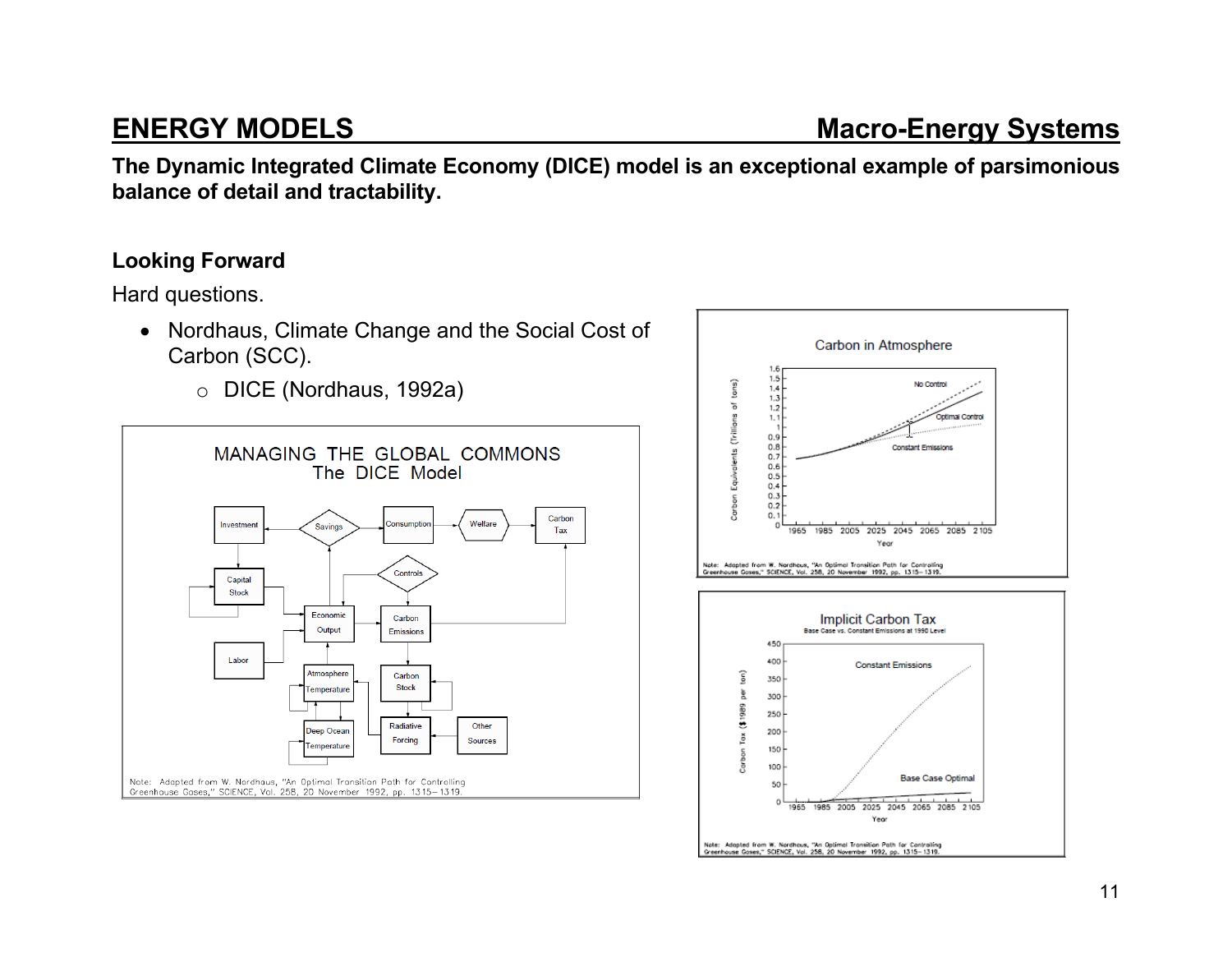**The Dynamic Integrated Climate Economy (DICE) model is an exceptional example of parsimonious balance of detail and tractability.** 

### **Looking Forward**

Hard questions.

- Nordhaus, Climate Change and the Social Cost of Carbon (SCC).
	- o DICE (Nordhaus, 1992a)



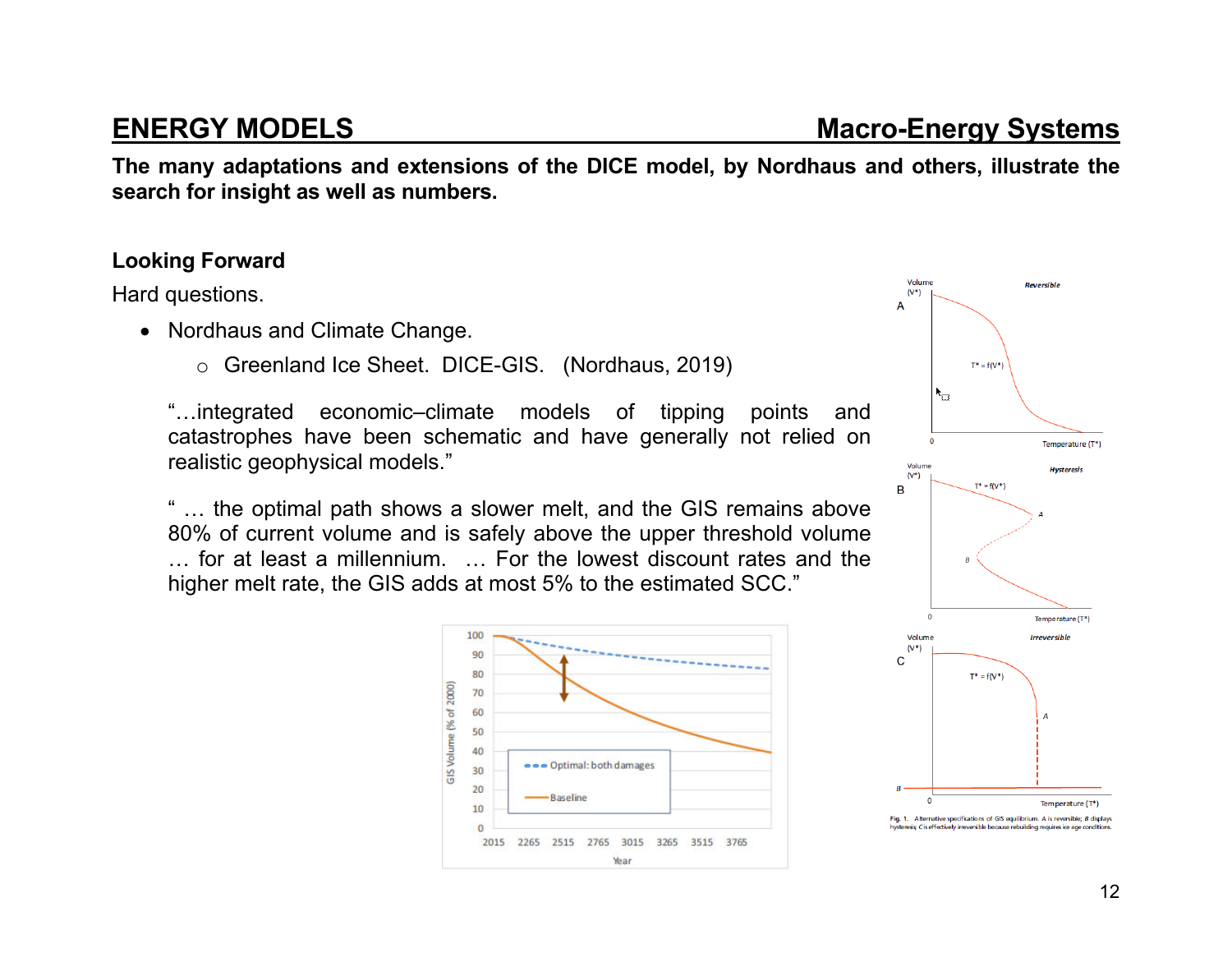**The many adaptations and extensions of the DICE model, by Nordhaus and others, illustrate the search for insight as well as numbers.** 

### **Looking Forward**

Hard questions.

- Nordhaus and Climate Change.
	- <sup>o</sup> Greenland Ice Sheet. DICE-GIS. (Nordhaus, 2019)

"…integrated economic–climate models of tipping points and catastrophes have been schematic and have generally not relied on realistic geophysical models."

" … the optimal path shows a slower melt, and the GIS remains above 80% of current volume and is safely above the upper threshold volume … for at least a millennium. … For the lowest discount rates and the higher melt rate, the GIS adds at most 5% to the estimated SCC."

> 100 90 80 (% of 2000) 70 60 50 **GIS Volume** 40 ••• Optimal: both damages  $30<sub>o</sub>$ 20 **Baseline** 10  $\mathbf{O}$

> > 2015 2265 2515 2765 3015 3265 3515 3765 Year



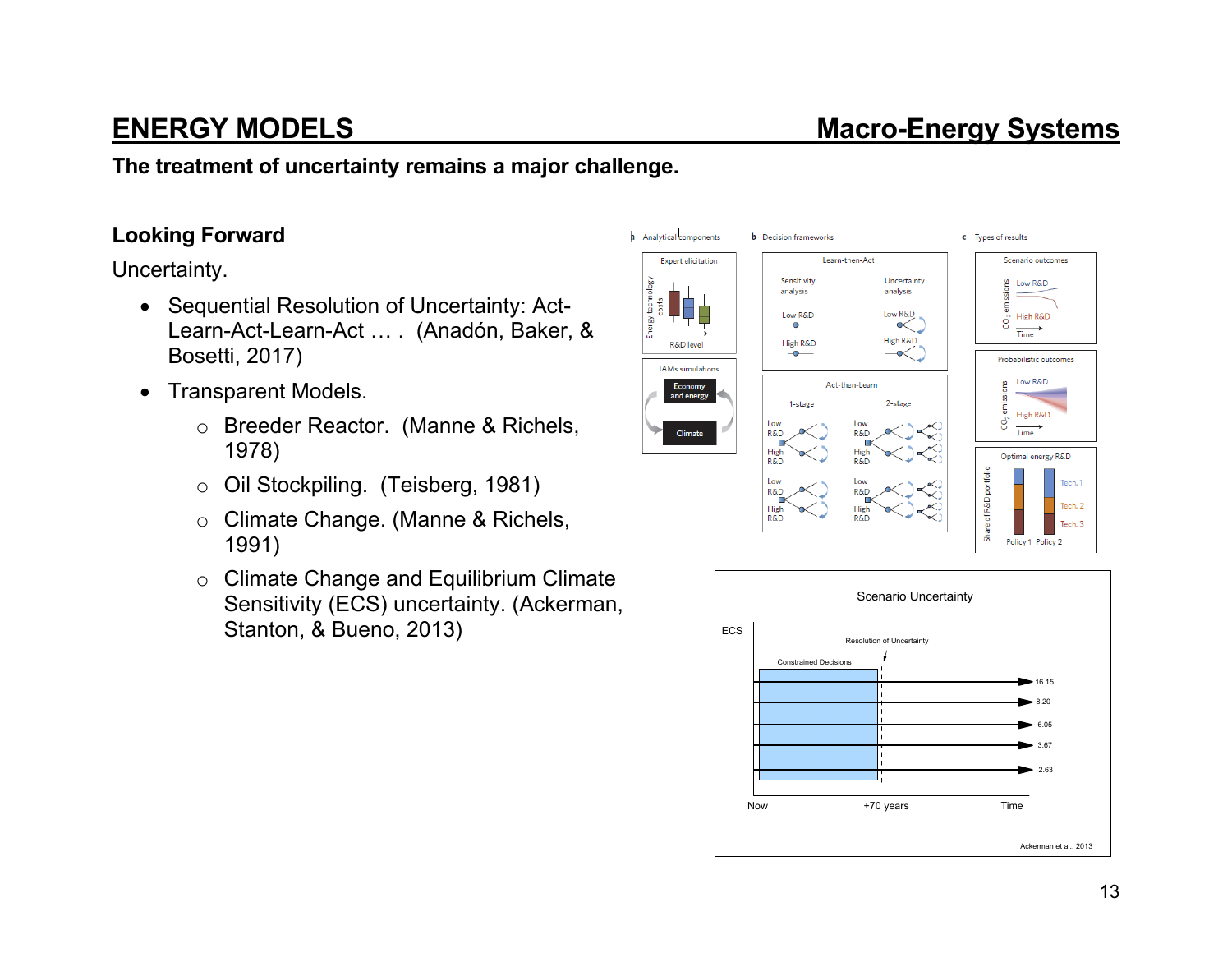**The treatment of uncertainty remains a major challenge.** 

### **Looking Forward**

Uncertainty.

- Sequential Resolution of Uncertainty: Act-Learn-Act-Learn-Act … . (Anadón, Baker, & Bosetti, 2017)
- Transparent Models.
	- <sup>o</sup> Breeder Reactor. (Manne & Richels, 1978)
	- <sup>o</sup> Oil Stockpiling. (Teisberg, 1981)
	- <sup>o</sup> Climate Change. (Manne & Richels, 1991)
	- <sup>o</sup> Climate Change and Equilibrium Climate Sensitivity (ECS) uncertainty. (Ackerman, Stanton, & Bueno, 2013)



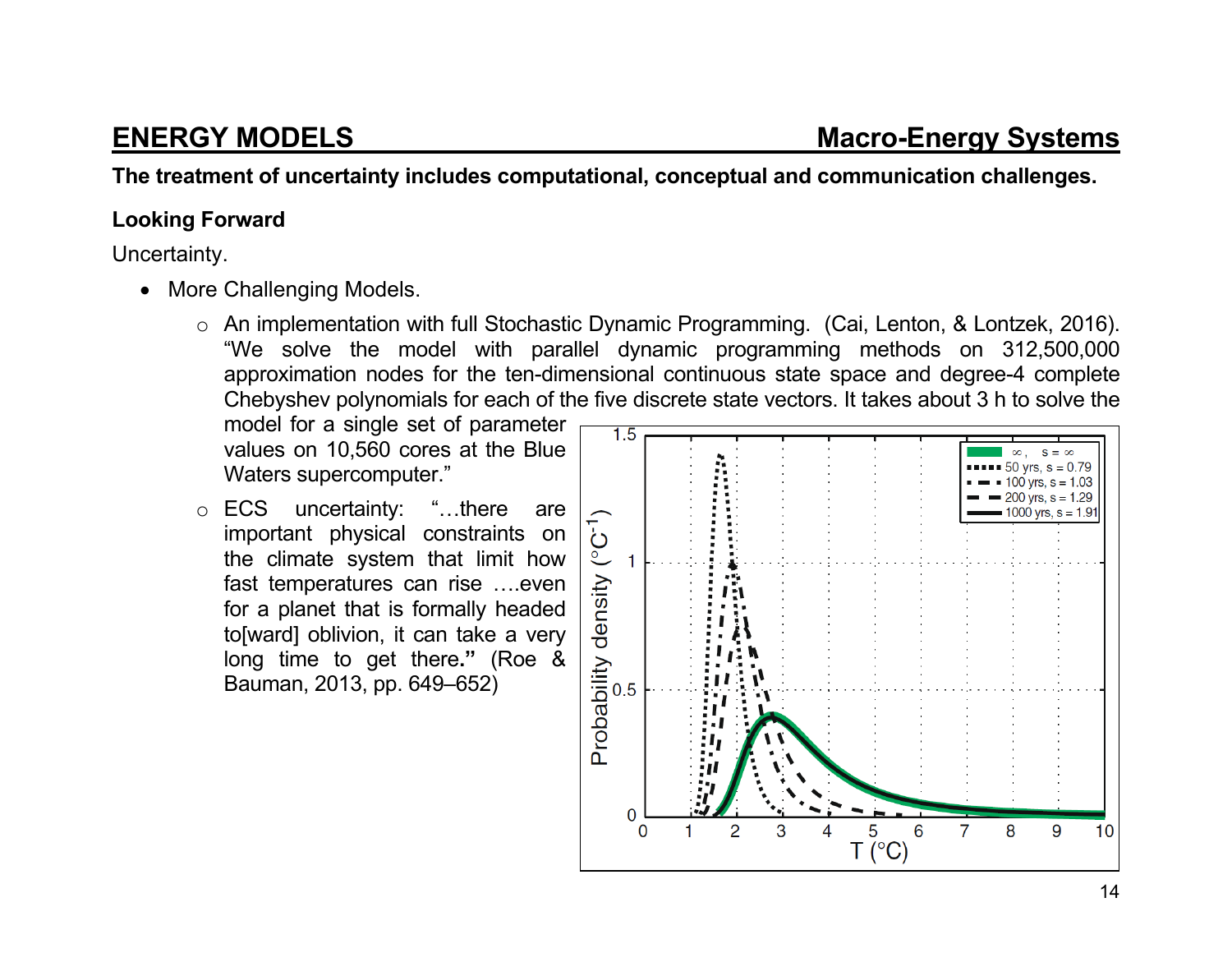**The treatment of uncertainty includes computational, conceptual and communication challenges.** 

#### **Looking Forward**

Uncertainty.

- More Challenging Models.
	- <sup>o</sup> An implementation with full Stochastic Dynamic Programming. (Cai, Lenton, & Lontzek, 2016). "We solve the model with parallel dynamic programming methods on 312,500,000 approximation nodes for the ten-dimensional continuous state space and degree-4 complete Chebyshev polynomials for each of the five discrete state vectors. It takes about 3 h to solve the

model for a single set of parameter values on 10,560 cores at the Blue Waters supercomputer."

<sup>o</sup> ECS uncertainty: "…there are important physical constraints on the climate system that limit how fast temperatures can rise ….even for a planet that is formally headed to[ward] oblivion, it can take a very long time to get there**."** (Roe & Bauman, 2013, pp. 649–652)

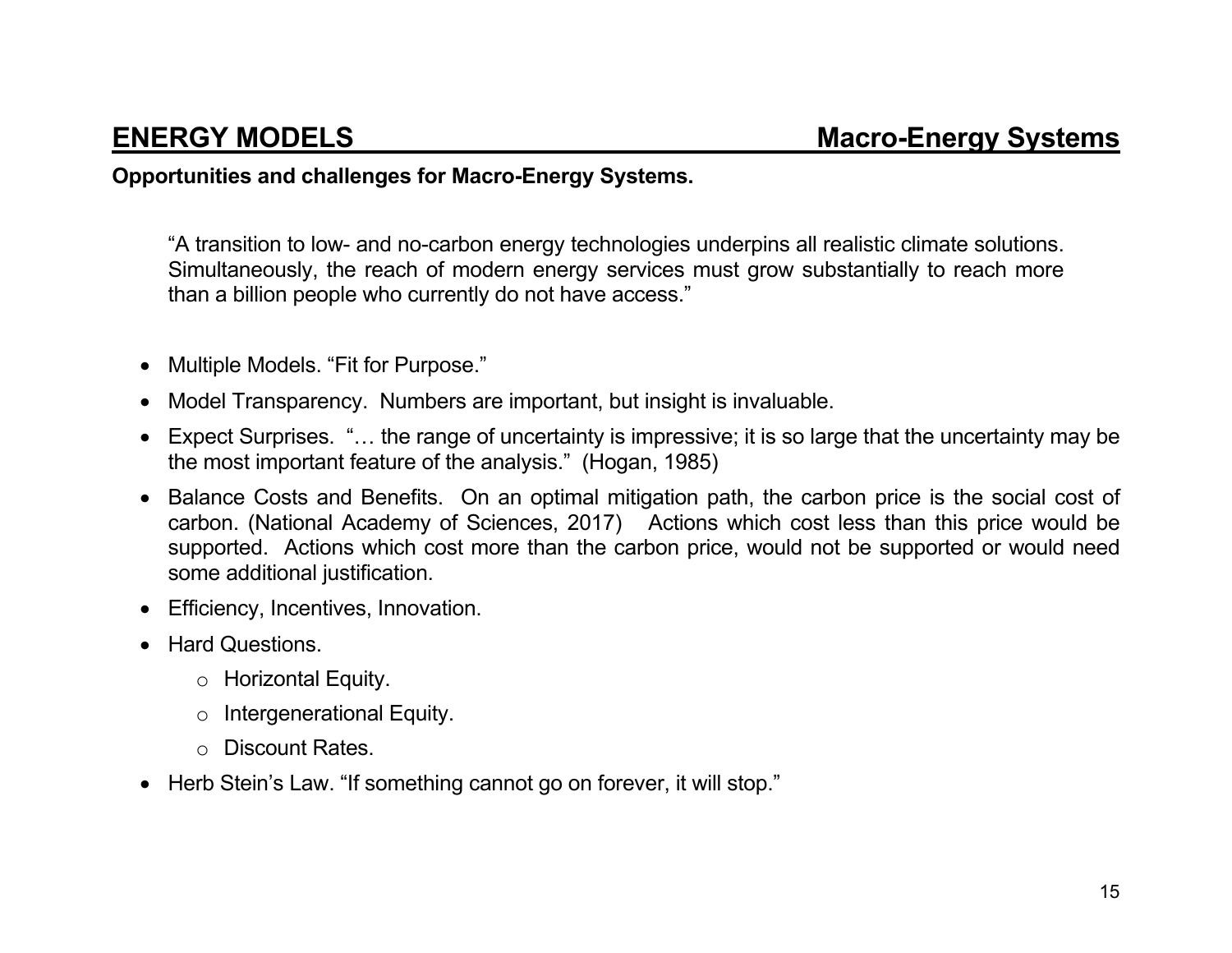### **Opportunities and challenges for Macro-Energy Systems.**

"A transition to low- and no-carbon energy technologies underpins all realistic climate solutions. Simultaneously, the reach of modern energy services must grow substantially to reach more than a billion people who currently do not have access."

- Multiple Models. "Fit for Purpose."
- Model Transparency. Numbers are important, but insight is invaluable.
- Expect Surprises. "… the range of uncertainty is impressive; it is so large that the uncertainty may be the most important feature of the analysis." (Hogan, 1985)
- Balance Costs and Benefits. On an optimal mitigation path, the carbon price is the social cost of carbon. (National Academy of Sciences, 2017) Actions which cost less than this price would be supported. Actions which cost more than the carbon price, would not be supported or would need some additional justification.
- Efficiency, Incentives, Innovation.
- Hard Questions.
	- <sup>o</sup> Horizontal Equity.
	- <sup>o</sup> Intergenerational Equity.
	- o Discount Rates.
- Herb Stein's Law. "If something cannot go on forever, it will stop."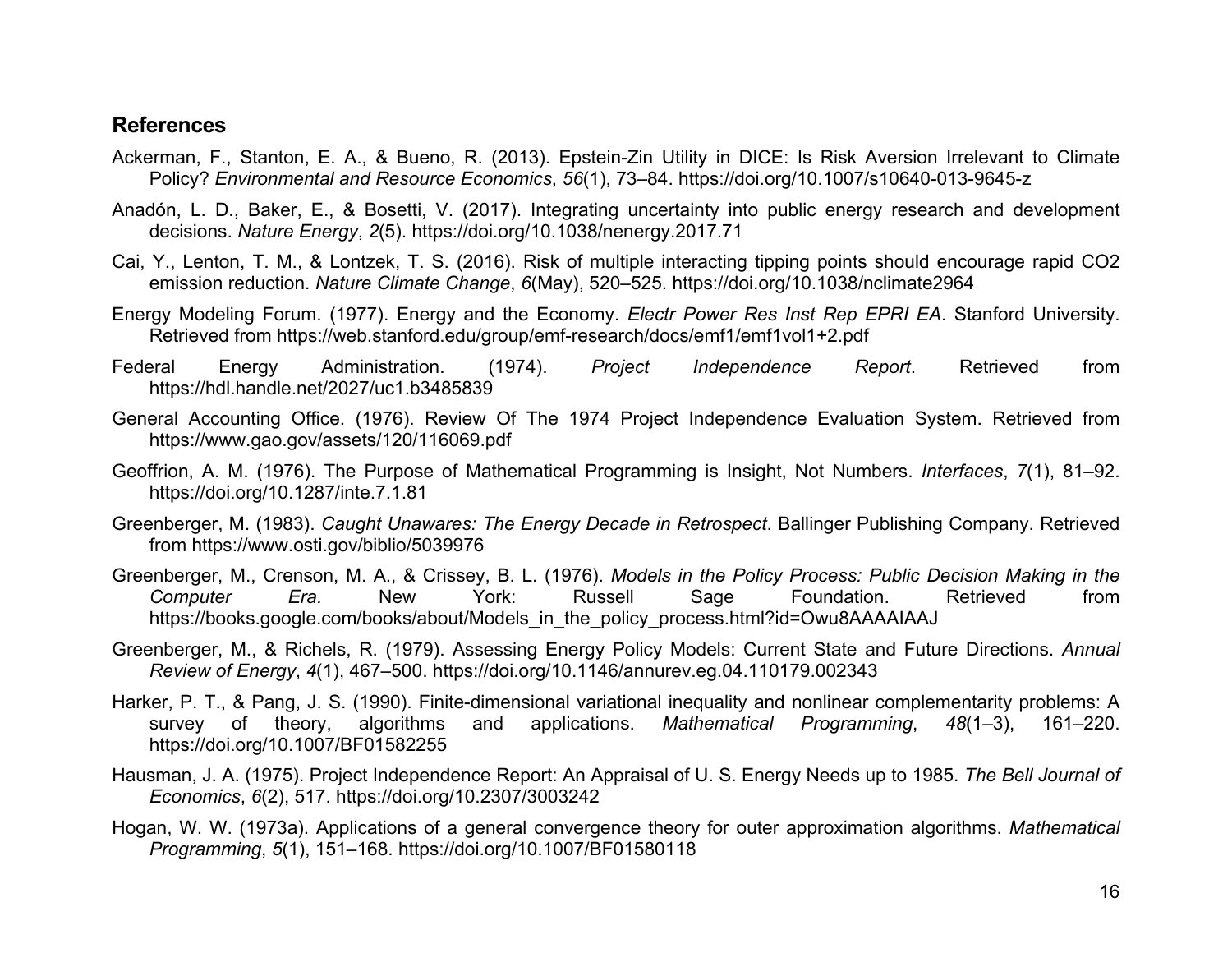#### **References**

- Ackerman, F., Stanton, E. A., & Bueno, R. (2013). Epstein-Zin Utility in DICE: Is Risk Aversion Irrelevant to Climate Policy? *Environmental and Resource Economics*, *56*(1), 73–84. https://doi.org/10.1007/s10640-013-9645-z
- Anadón, L. D., Baker, E., & Bosetti, V. (2017). Integrating uncertainty into public energy research and development decisions. *Nature Energy*, *2*(5). https://doi.org/10.1038/nenergy.2017.71
- Cai, Y., Lenton, T. M., & Lontzek, T. S. (2016). Risk of multiple interacting tipping points should encourage rapid CO2 emission reduction. *Nature Climate Change*, *6*(May), 520–525. https://doi.org/10.1038/nclimate2964
- Energy Modeling Forum. (1977). Energy and the Economy. *Electr Power Res Inst Rep EPRI EA*. Stanford University. Retrieved from https://web.stanford.edu/group/emf-research/docs/emf1/emf1vol1+2.pdf
- Federal Energy Administration. (1974). *Project Independence Report*. Retrieved from https://hdl.handle.net/2027/uc1.b3485839
- General Accounting Office. (1976). Review Of The 1974 Project Independence Evaluation System. Retrieved from https://www.gao.gov/assets/120/116069.pdf
- Geoffrion, A. M. (1976). The Purpose of Mathematical Programming is Insight, Not Numbers. *Interfaces*, *7*(1), 81–92. https://doi.org/10.1287/inte.7.1.81
- Greenberger, M. (1983). *Caught Unawares: The Energy Decade in Retrospect*. Ballinger Publishing Company. Retrieved from https://www.osti.gov/biblio/5039976
- Greenberger, M., Crenson, M. A., & Crissey, B. L. (1976). *Models in the Policy Process: Public Decision Making in the Computer Era.* New York: Russell Sage Foundation. Retrieved from https://books.google.com/books/about/Models\_in\_the\_policy\_process.html?id=Owu8AAAAIAAJ
- Greenberger, M., & Richels, R. (1979). Assessing Energy Policy Models: Current State and Future Directions. *Annual Review of Energy*, *4*(1), 467–500. https://doi.org/10.1146/annurev.eg.04.110179.002343
- Harker, P. T., & Pang, J. S. (1990). Finite-dimensional variational inequality and nonlinear complementarity problems: A survey of theory, algorithms and applications. *Mathematical Programming*, *48*(1–3), 161–220. https://doi.org/10.1007/BF01582255
- Hausman, J. A. (1975). Project Independence Report: An Appraisal of U. S. Energy Needs up to 1985. *The Bell Journal of Economics*, *6*(2), 517. https://doi.org/10.2307/3003242
- Hogan, W. W. (1973a). Applications of a general convergence theory for outer approximation algorithms. *Mathematical Programming*, *5*(1), 151–168. https://doi.org/10.1007/BF01580118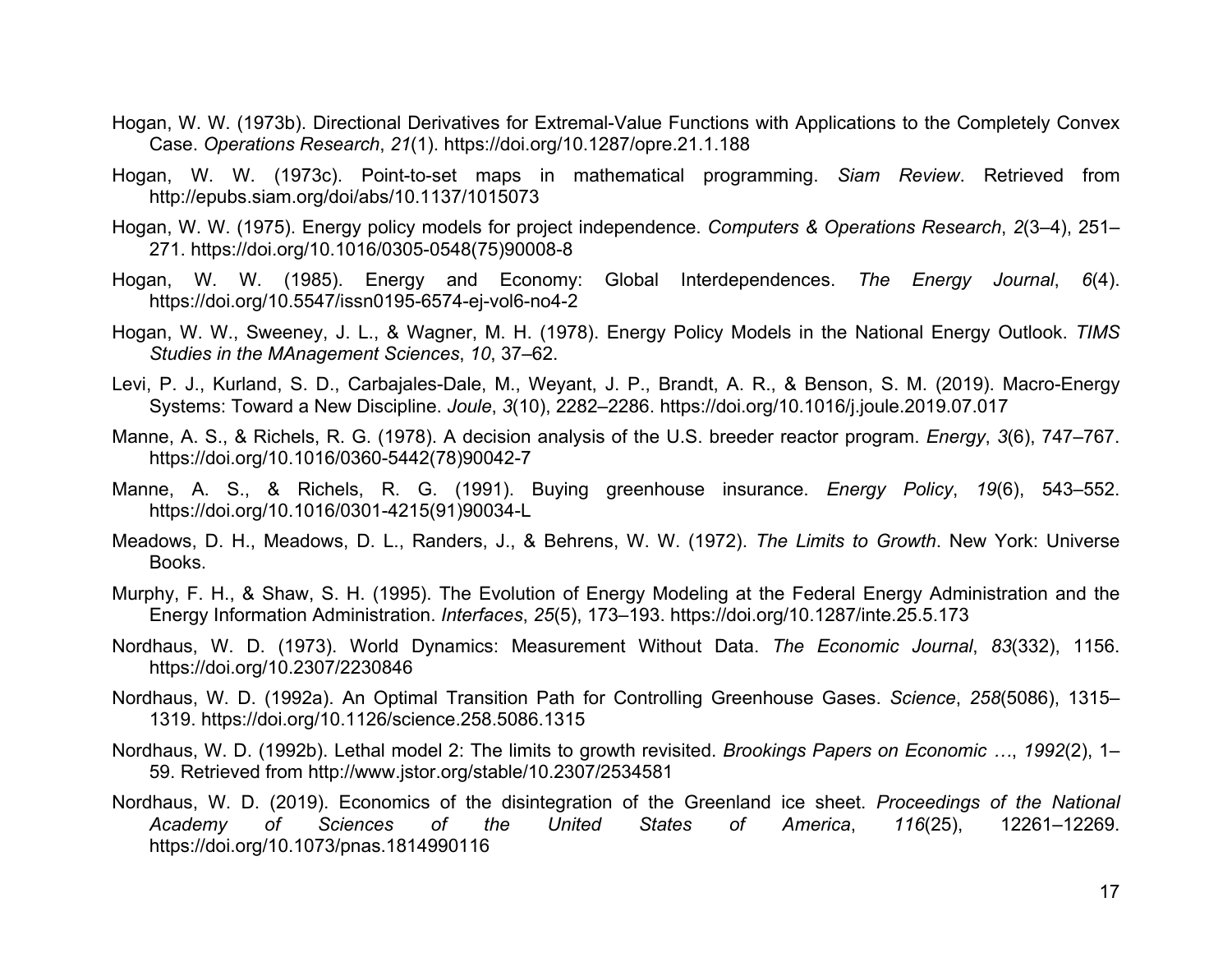- Hogan, W. W. (1973b). Directional Derivatives for Extremal-Value Functions with Applications to the Completely Convex Case. *Operations Research*, *21*(1). https://doi.org/10.1287/opre.21.1.188
- Hogan, W. W. (1973c). Point-to-set maps in mathematical programming. *Siam Review*. Retrieved from http://epubs.siam.org/doi/abs/10.1137/1015073
- Hogan, W. W. (1975). Energy policy models for project independence. *Computers & Operations Research*, *2*(3–4), 251– 271. https://doi.org/10.1016/0305-0548(75)90008-8
- Hogan, W. W. (1985). Energy and Economy: Global Interdependences. *The Energy Journal*, *6*(4). https://doi.org/10.5547/issn0195-6574-ej-vol6-no4-2
- Hogan, W. W., Sweeney, J. L., & Wagner, M. H. (1978). Energy Policy Models in the National Energy Outlook. *TIMS Studies in the MAnagement Sciences*, *10*, 37–62.
- Levi, P. J., Kurland, S. D., Carbajales-Dale, M., Weyant, J. P., Brandt, A. R., & Benson, S. M. (2019). Macro-Energy Systems: Toward a New Discipline. *Joule*, *3*(10), 2282–2286. https://doi.org/10.1016/j.joule.2019.07.017
- Manne, A. S., & Richels, R. G. (1978). A decision analysis of the U.S. breeder reactor program. *Energy*, *3*(6), 747–767. https://doi.org/10.1016/0360-5442(78)90042-7
- Manne, A. S., & Richels, R. G. (1991). Buying greenhouse insurance. *Energy Policy*, *19*(6), 543–552. https://doi.org/10.1016/0301-4215(91)90034-L
- Meadows, D. H., Meadows, D. L., Randers, J., & Behrens, W. W. (1972). *The Limits to Growth*. New York: Universe Books.
- Murphy, F. H., & Shaw, S. H. (1995). The Evolution of Energy Modeling at the Federal Energy Administration and the Energy Information Administration. *Interfaces*, *25*(5), 173–193. https://doi.org/10.1287/inte.25.5.173
- Nordhaus, W. D. (1973). World Dynamics: Measurement Without Data. *The Economic Journal*, *83*(332), 1156. https://doi.org/10.2307/2230846
- Nordhaus, W. D. (1992a). An Optimal Transition Path for Controlling Greenhouse Gases. *Science*, *258*(5086), 1315– 1319. https://doi.org/10.1126/science.258.5086.1315
- Nordhaus, W. D. (1992b). Lethal model 2: The limits to growth revisited. *Brookings Papers on Economic …*, *1992*(2), 1– 59. Retrieved from http://www.jstor.org/stable/10.2307/2534581
- Nordhaus, W. D. (2019). Economics of the disintegration of the Greenland ice sheet. *Proceedings of the National Academy of Sciences of the United States of America*, *116*(25), 12261–12269. https://doi.org/10.1073/pnas.1814990116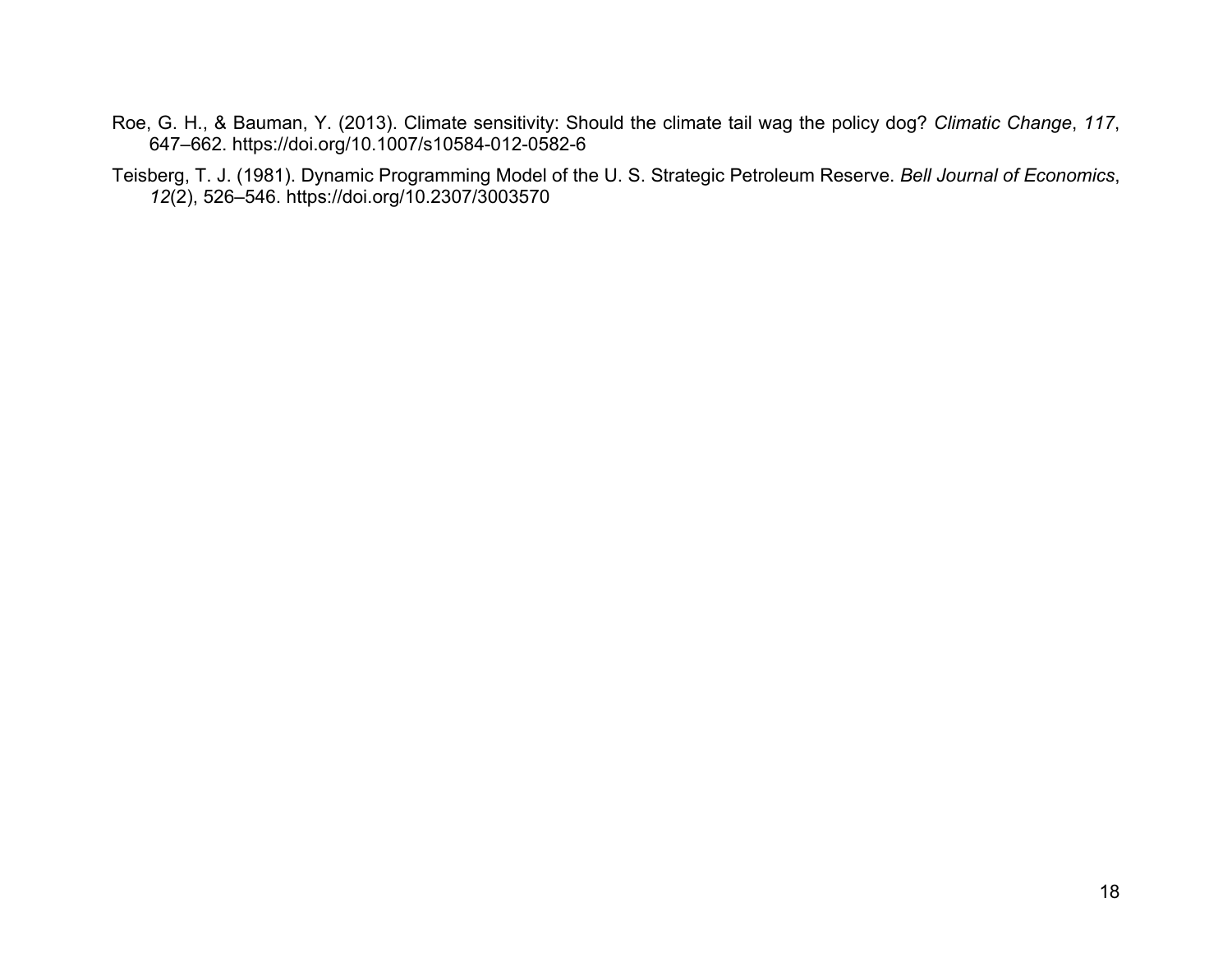Roe, G. H., & Bauman, Y. (2013). Climate sensitivity: Should the climate tail wag the policy dog? *Climatic Change*, *117*, 647–662. https://doi.org/10.1007/s10584-012-0582-6

Teisberg, T. J. (1981). Dynamic Programming Model of the U. S. Strategic Petroleum Reserve. *Bell Journal of Economics*, *12*(2), 526–546. https://doi.org/10.2307/3003570